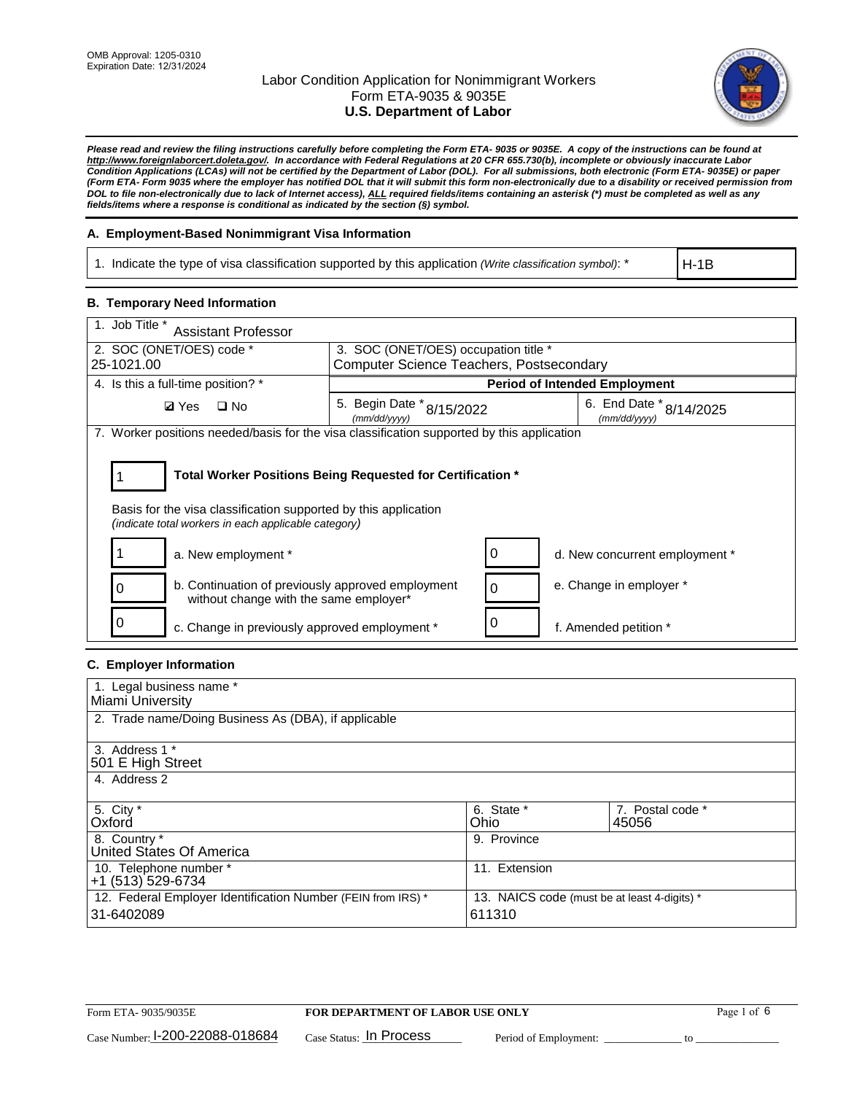

*Please read and review the filing instructions carefully before completing the Form ETA- 9035 or 9035E. A copy of the instructions can be found at [http://www.foreignlaborcert.doleta.gov/.](http://www.foreignlaborcert.doleta.gov/) In accordance with Federal Regulations at 20 CFR 655.730(b), incomplete or obviously inaccurate Labor Condition Applications (LCAs) will not be certified by the Department of Labor (DOL). For all submissions, both electronic (Form ETA- 9035E) or paper (Form ETA- Form 9035 where the employer has notified DOL that it will submit this form non-electronically due to a disability or received permission from DOL to file non-electronically due to lack of Internet access), ALL required fields/items containing an asterisk (\*) must be completed as well as any fields/items where a response is conditional as indicated by the section (§) symbol.* 

### **A. Employment-Based Nonimmigrant Visa Information**

1. Indicate the type of visa classification supported by this application *(Write classification symbol)*: \*

H-1B

### **B. Temporary Need Information**

| 1. Job Title *<br><b>Assistant Professor</b>                                                                                                                                          |                                          |                                                                      |                                      |  |
|---------------------------------------------------------------------------------------------------------------------------------------------------------------------------------------|------------------------------------------|----------------------------------------------------------------------|--------------------------------------|--|
| 2. SOC (ONET/OES) code *                                                                                                                                                              | 3. SOC (ONET/OES) occupation title *     |                                                                      |                                      |  |
| 25-1021.00                                                                                                                                                                            | Computer Science Teachers, Postsecondary |                                                                      |                                      |  |
| 4. Is this a full-time position? *                                                                                                                                                    |                                          |                                                                      | <b>Period of Intended Employment</b> |  |
| $\square$ No<br><b>Ø</b> Yes                                                                                                                                                          | (mm/dd/yyyy)                             | 6. End Date * 8/14/2025<br>5. Begin Date * 8/15/2022<br>(mm/dd/yyyy) |                                      |  |
| 7. Worker positions needed/basis for the visa classification supported by this application                                                                                            |                                          |                                                                      |                                      |  |
| Total Worker Positions Being Requested for Certification *<br>Basis for the visa classification supported by this application<br>(indicate total workers in each applicable category) |                                          |                                                                      |                                      |  |
| a. New employment *                                                                                                                                                                   |                                          |                                                                      | d. New concurrent employment *       |  |
| b. Continuation of previously approved employment<br>without change with the same employer*                                                                                           |                                          | 0                                                                    | e. Change in employer *              |  |
| c. Change in previously approved employment *                                                                                                                                         |                                          | 0                                                                    | f. Amended petition *                |  |

### **C. Employer Information**

| 1. Legal business name *                                                                                     |               |                  |  |
|--------------------------------------------------------------------------------------------------------------|---------------|------------------|--|
| Miami University                                                                                             |               |                  |  |
| 2. Trade name/Doing Business As (DBA), if applicable                                                         |               |                  |  |
|                                                                                                              |               |                  |  |
| 3. Address 1 *                                                                                               |               |                  |  |
| 501 E High Street                                                                                            |               |                  |  |
| 4. Address 2                                                                                                 |               |                  |  |
|                                                                                                              |               |                  |  |
| 5. City *                                                                                                    | 6. State *    | 7. Postal code * |  |
| Oxford                                                                                                       | Ohio          | 45056            |  |
| 8. Country *                                                                                                 | 9. Province   |                  |  |
| United States Of America                                                                                     |               |                  |  |
| 10. Telephone number *                                                                                       | 11. Extension |                  |  |
| +1 (513) 529-6734                                                                                            |               |                  |  |
| 12. Federal Employer Identification Number (FEIN from IRS) *<br>13. NAICS code (must be at least 4-digits) * |               |                  |  |
| 31-6402089<br>611310                                                                                         |               |                  |  |
|                                                                                                              |               |                  |  |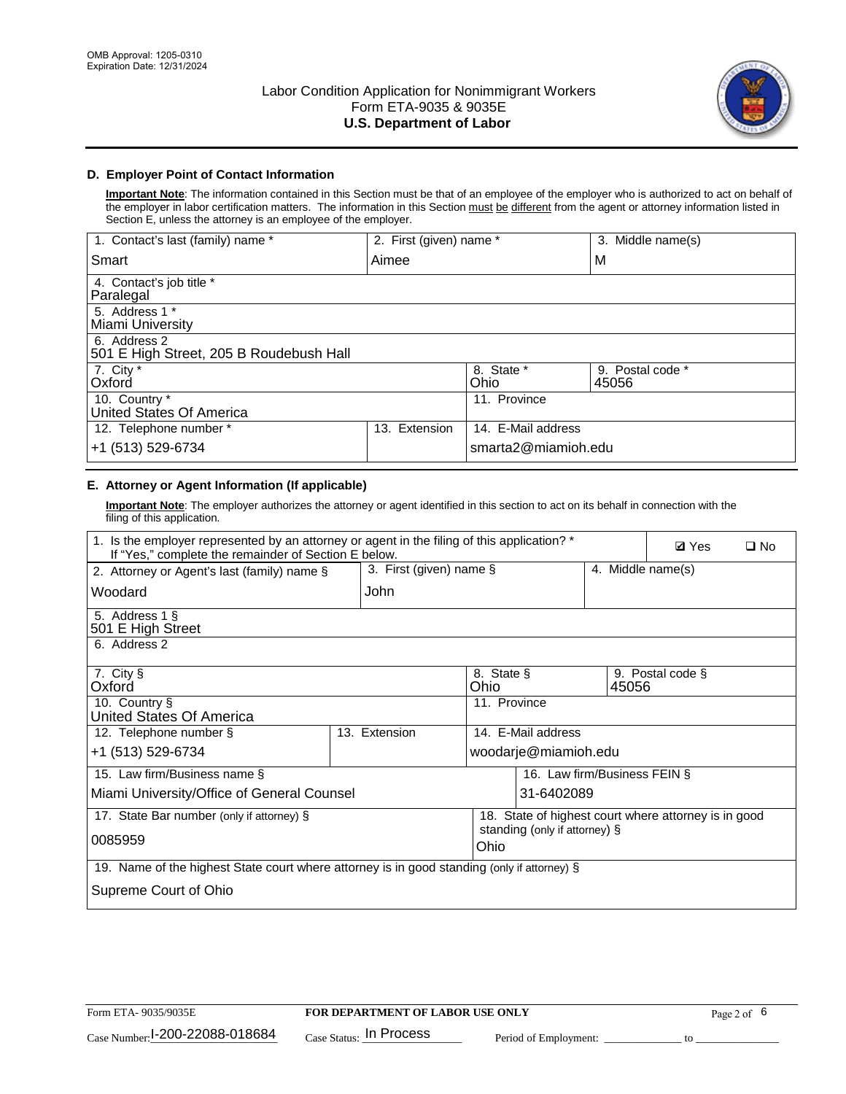

## **D. Employer Point of Contact Information**

**Important Note**: The information contained in this Section must be that of an employee of the employer who is authorized to act on behalf of the employer in labor certification matters. The information in this Section must be different from the agent or attorney information listed in Section E, unless the attorney is an employee of the employer.

| 1. Contact's last (family) name *                       | 2. First (given) name * |                     | 3. Middle name(s)         |
|---------------------------------------------------------|-------------------------|---------------------|---------------------------|
| Smart                                                   | Aimee                   |                     | M                         |
| 4. Contact's job title *<br>Paralegal                   |                         |                     |                           |
| 5. Address 1 *<br>Miami University                      |                         |                     |                           |
| 6. Address 2<br>501 E High Street, 205 B Roudebush Hall |                         |                     |                           |
| 7. City *<br>Oxford                                     |                         | 8. State *<br>Ohio  | 9. Postal code *<br>45056 |
| 10. Country *<br>United States Of America               |                         | 11. Province        |                           |
| 12. Telephone number *                                  | Extension<br>13.        | 14. E-Mail address  |                           |
| +1 (513) 529-6734                                       |                         | smarta2@miamioh.edu |                           |

# **E. Attorney or Agent Information (If applicable)**

**Important Note**: The employer authorizes the attorney or agent identified in this section to act on its behalf in connection with the filing of this application.

| 1. Is the employer represented by an attorney or agent in the filing of this application? *<br>If "Yes," complete the remainder of Section E below. |                         |                                                      |                              |                   |  | $\Box$ No |
|-----------------------------------------------------------------------------------------------------------------------------------------------------|-------------------------|------------------------------------------------------|------------------------------|-------------------|--|-----------|
| 2. Attorney or Agent's last (family) name §                                                                                                         | 3. First (given) name § |                                                      |                              | 4. Middle name(s) |  |           |
| Woodard                                                                                                                                             | John                    |                                                      |                              |                   |  |           |
| 5. Address 1 §<br>501 E High Street                                                                                                                 |                         |                                                      |                              |                   |  |           |
| 6. Address 2                                                                                                                                        |                         |                                                      |                              |                   |  |           |
| 7. City §<br>8. State §<br>9. Postal code §<br>Oxford<br>Ohio<br>45056                                                                              |                         |                                                      |                              |                   |  |           |
| 10. Country §<br>United States Of America                                                                                                           | 11. Province            |                                                      |                              |                   |  |           |
| 12. Telephone number §                                                                                                                              | 13. Extension           | 14. E-Mail address                                   |                              |                   |  |           |
| +1 (513) 529-6734                                                                                                                                   |                         |                                                      | woodarje@miamioh.edu         |                   |  |           |
| 15. Law firm/Business name §                                                                                                                        |                         |                                                      | 16. Law firm/Business FEIN § |                   |  |           |
| Miami University/Office of General Counsel                                                                                                          |                         |                                                      | 31-6402089                   |                   |  |           |
| 17. State Bar number (only if attorney) §                                                                                                           |                         | 18. State of highest court where attorney is in good |                              |                   |  |           |
| 0085959                                                                                                                                             |                         | standing (only if attorney) §<br>Ohio                |                              |                   |  |           |
| 19. Name of the highest State court where attorney is in good standing (only if attorney) §                                                         |                         |                                                      |                              |                   |  |           |
| Supreme Court of Ohio                                                                                                                               |                         |                                                      |                              |                   |  |           |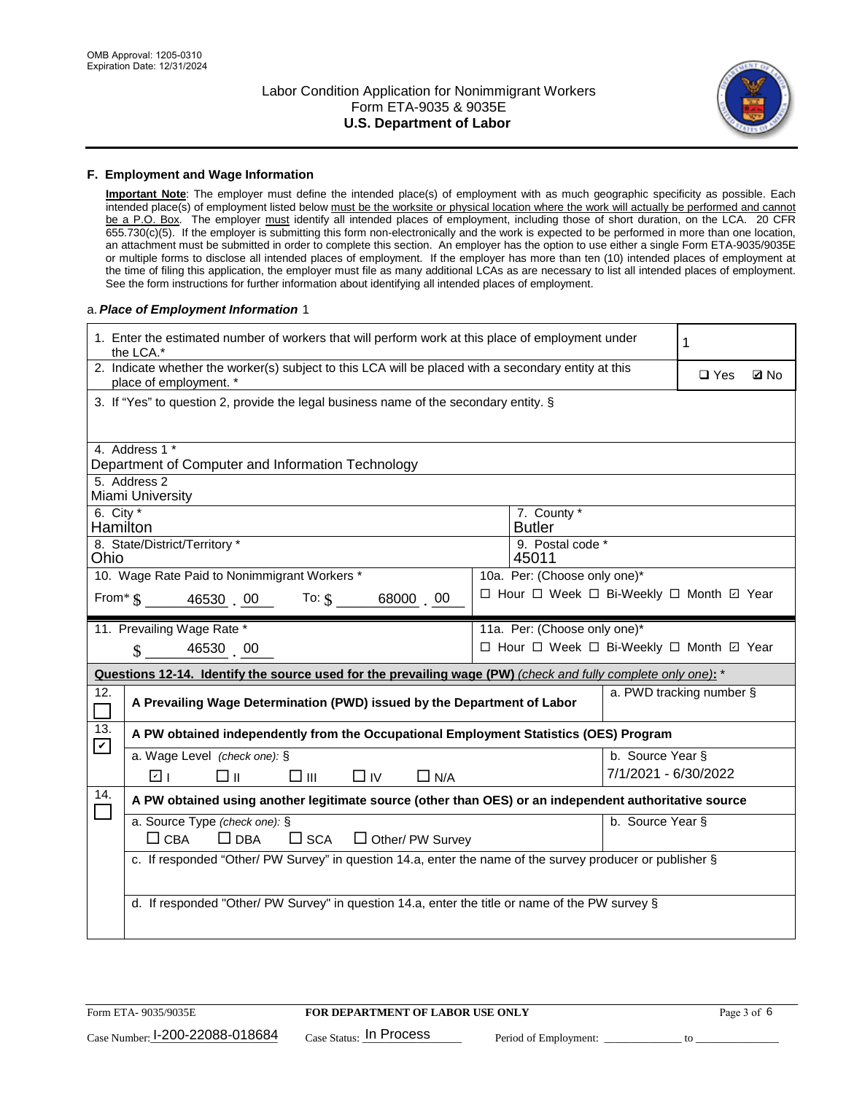

#### **F. Employment and Wage Information**

**Important Note**: The employer must define the intended place(s) of employment with as much geographic specificity as possible. Each intended place(s) of employment listed below must be the worksite or physical location where the work will actually be performed and cannot be a P.O. Box. The employer must identify all intended places of employment, including those of short duration, on the LCA. 20 CFR 655.730(c)(5). If the employer is submitting this form non-electronically and the work is expected to be performed in more than one location, an attachment must be submitted in order to complete this section. An employer has the option to use either a single Form ETA-9035/9035E or multiple forms to disclose all intended places of employment. If the employer has more than ten (10) intended places of employment at the time of filing this application, the employer must file as many additional LCAs as are necessary to list all intended places of employment. See the form instructions for further information about identifying all intended places of employment.

#### a.*Place of Employment Information* 1

|                                                                                                                                | 1. Enter the estimated number of workers that will perform work at this place of employment under<br>the LCA.* |  |                                          |                      |  |             |  |
|--------------------------------------------------------------------------------------------------------------------------------|----------------------------------------------------------------------------------------------------------------|--|------------------------------------------|----------------------|--|-------------|--|
| 2. Indicate whether the worker(s) subject to this LCA will be placed with a secondary entity at this<br>place of employment. * |                                                                                                                |  |                                          |                      |  | <b>Ø</b> No |  |
|                                                                                                                                | 3. If "Yes" to question 2, provide the legal business name of the secondary entity. §                          |  |                                          |                      |  |             |  |
| 4. Address 1 *                                                                                                                 |                                                                                                                |  |                                          |                      |  |             |  |
|                                                                                                                                | Department of Computer and Information Technology                                                              |  |                                          |                      |  |             |  |
| 5. Address 2<br>Miami University                                                                                               |                                                                                                                |  |                                          |                      |  |             |  |
| 6. City $*$<br>Hamilton                                                                                                        |                                                                                                                |  | 7. County *<br><b>Butler</b>             |                      |  |             |  |
|                                                                                                                                | 8. State/District/Territory *                                                                                  |  | 9. Postal code *                         |                      |  |             |  |
| Ohio                                                                                                                           |                                                                                                                |  | 45011                                    |                      |  |             |  |
| 10. Wage Rate Paid to Nonimmigrant Workers *<br>10a. Per: (Choose only one)*                                                   |                                                                                                                |  |                                          |                      |  |             |  |
|                                                                                                                                | From $\frac{1}{3}$ 46530 00 To: $\frac{1}{3}$ 68000 00                                                         |  | □ Hour □ Week □ Bi-Weekly □ Month ☑ Year |                      |  |             |  |
|                                                                                                                                | 11. Prevailing Wage Rate *                                                                                     |  | 11a. Per: (Choose only one)*             |                      |  |             |  |
|                                                                                                                                | $\sin 4653000$                                                                                                 |  | □ Hour □ Week □ Bi-Weekly □ Month ☑ Year |                      |  |             |  |
|                                                                                                                                | Questions 12-14. Identify the source used for the prevailing wage (PW) (check and fully complete only one): *  |  |                                          |                      |  |             |  |
| 12.<br>$\overline{\phantom{0}}$                                                                                                | a. PWD tracking number §<br>A Prevailing Wage Determination (PWD) issued by the Department of Labor            |  |                                          |                      |  |             |  |
| 13.<br>$\blacktriangledown$                                                                                                    | A PW obtained independently from the Occupational Employment Statistics (OES) Program                          |  |                                          |                      |  |             |  |
|                                                                                                                                | a. Wage Level (check one): §                                                                                   |  |                                          | b. Source Year §     |  |             |  |
|                                                                                                                                | ☑ ⊦<br>□⊪<br>$\square$ $\square$<br>$\Box$ IV<br>$\Box$ N/A                                                    |  |                                          | 7/1/2021 - 6/30/2022 |  |             |  |
| 14.                                                                                                                            | A PW obtained using another legitimate source (other than OES) or an independent authoritative source          |  |                                          |                      |  |             |  |
|                                                                                                                                | a. Source Type (check one): §                                                                                  |  |                                          | b. Source Year §     |  |             |  |
|                                                                                                                                | $\Box$ CBA<br>$\Box$ DBA<br>$\square$ SCA<br>$\Box$ Other/ PW Survey                                           |  |                                          |                      |  |             |  |
|                                                                                                                                | c. If responded "Other/ PW Survey" in question 14.a, enter the name of the survey producer or publisher §      |  |                                          |                      |  |             |  |
|                                                                                                                                |                                                                                                                |  |                                          |                      |  |             |  |
|                                                                                                                                | d. If responded "Other/ PW Survey" in question 14.a, enter the title or name of the PW survey §                |  |                                          |                      |  |             |  |
|                                                                                                                                |                                                                                                                |  |                                          |                      |  |             |  |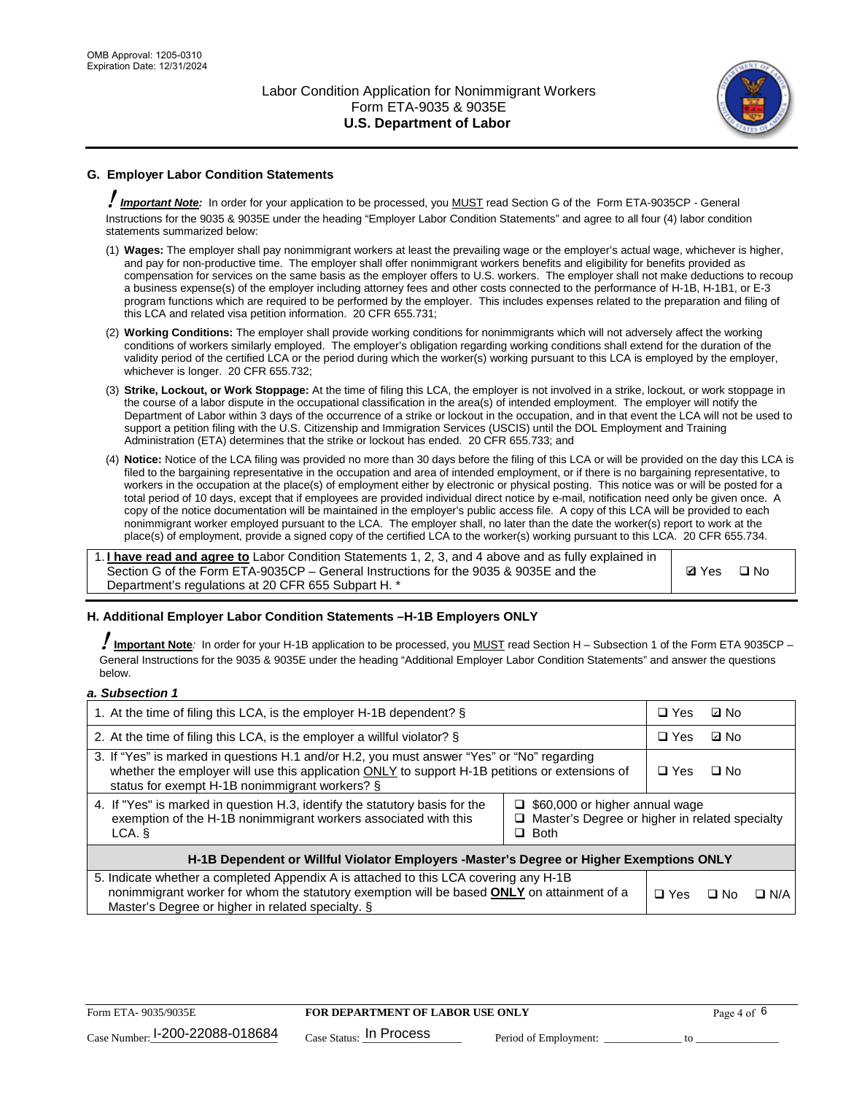

# **G. Employer Labor Condition Statements**

! *Important Note:* In order for your application to be processed, you MUST read Section G of the Form ETA-9035CP - General Instructions for the 9035 & 9035E under the heading "Employer Labor Condition Statements" and agree to all four (4) labor condition statements summarized below:

- (1) **Wages:** The employer shall pay nonimmigrant workers at least the prevailing wage or the employer's actual wage, whichever is higher, and pay for non-productive time. The employer shall offer nonimmigrant workers benefits and eligibility for benefits provided as compensation for services on the same basis as the employer offers to U.S. workers. The employer shall not make deductions to recoup a business expense(s) of the employer including attorney fees and other costs connected to the performance of H-1B, H-1B1, or E-3 program functions which are required to be performed by the employer. This includes expenses related to the preparation and filing of this LCA and related visa petition information. 20 CFR 655.731;
- (2) **Working Conditions:** The employer shall provide working conditions for nonimmigrants which will not adversely affect the working conditions of workers similarly employed. The employer's obligation regarding working conditions shall extend for the duration of the validity period of the certified LCA or the period during which the worker(s) working pursuant to this LCA is employed by the employer, whichever is longer. 20 CFR 655.732;
- (3) **Strike, Lockout, or Work Stoppage:** At the time of filing this LCA, the employer is not involved in a strike, lockout, or work stoppage in the course of a labor dispute in the occupational classification in the area(s) of intended employment. The employer will notify the Department of Labor within 3 days of the occurrence of a strike or lockout in the occupation, and in that event the LCA will not be used to support a petition filing with the U.S. Citizenship and Immigration Services (USCIS) until the DOL Employment and Training Administration (ETA) determines that the strike or lockout has ended. 20 CFR 655.733; and
- (4) **Notice:** Notice of the LCA filing was provided no more than 30 days before the filing of this LCA or will be provided on the day this LCA is filed to the bargaining representative in the occupation and area of intended employment, or if there is no bargaining representative, to workers in the occupation at the place(s) of employment either by electronic or physical posting. This notice was or will be posted for a total period of 10 days, except that if employees are provided individual direct notice by e-mail, notification need only be given once. A copy of the notice documentation will be maintained in the employer's public access file. A copy of this LCA will be provided to each nonimmigrant worker employed pursuant to the LCA. The employer shall, no later than the date the worker(s) report to work at the place(s) of employment, provide a signed copy of the certified LCA to the worker(s) working pursuant to this LCA. 20 CFR 655.734.

1. **I have read and agree to** Labor Condition Statements 1, 2, 3, and 4 above and as fully explained in Section G of the Form ETA-9035CP – General Instructions for the 9035 & 9035E and the Department's regulations at 20 CFR 655 Subpart H. \*

**Ø**Yes ロNo

### **H. Additional Employer Labor Condition Statements –H-1B Employers ONLY**

!**Important Note***:* In order for your H-1B application to be processed, you MUST read Section H – Subsection 1 of the Form ETA 9035CP – General Instructions for the 9035 & 9035E under the heading "Additional Employer Labor Condition Statements" and answer the questions below.

#### *a. Subsection 1*

| 1. At the time of filing this LCA, is the employer H-1B dependent? §                                                                                                                                                                                                    |  |            | ⊡ No      |            |
|-------------------------------------------------------------------------------------------------------------------------------------------------------------------------------------------------------------------------------------------------------------------------|--|------------|-----------|------------|
| 2. At the time of filing this LCA, is the employer a willful violator? $\S$                                                                                                                                                                                             |  | $\Box$ Yes | ⊡ No      |            |
| 3. If "Yes" is marked in questions H.1 and/or H.2, you must answer "Yes" or "No" regarding<br>whether the employer will use this application ONLY to support H-1B petitions or extensions of<br>status for exempt H-1B nonimmigrant workers? §                          |  |            | $\Box$ No |            |
| 4. If "Yes" is marked in question H.3, identify the statutory basis for the<br>$\Box$ \$60,000 or higher annual wage<br>exemption of the H-1B nonimmigrant workers associated with this<br>$\Box$ Master's Degree or higher in related specialty<br>$\Box$ Both<br>LCA. |  |            |           |            |
| H-1B Dependent or Willful Violator Employers -Master's Degree or Higher Exemptions ONLY                                                                                                                                                                                 |  |            |           |            |
| 5. Indicate whether a completed Appendix A is attached to this LCA covering any H-1B<br>nonimmigrant worker for whom the statutory exemption will be based <b>ONLY</b> on attainment of a<br>Master's Degree or higher in related specialty. §                          |  |            | ⊡ No      | $\Box$ N/A |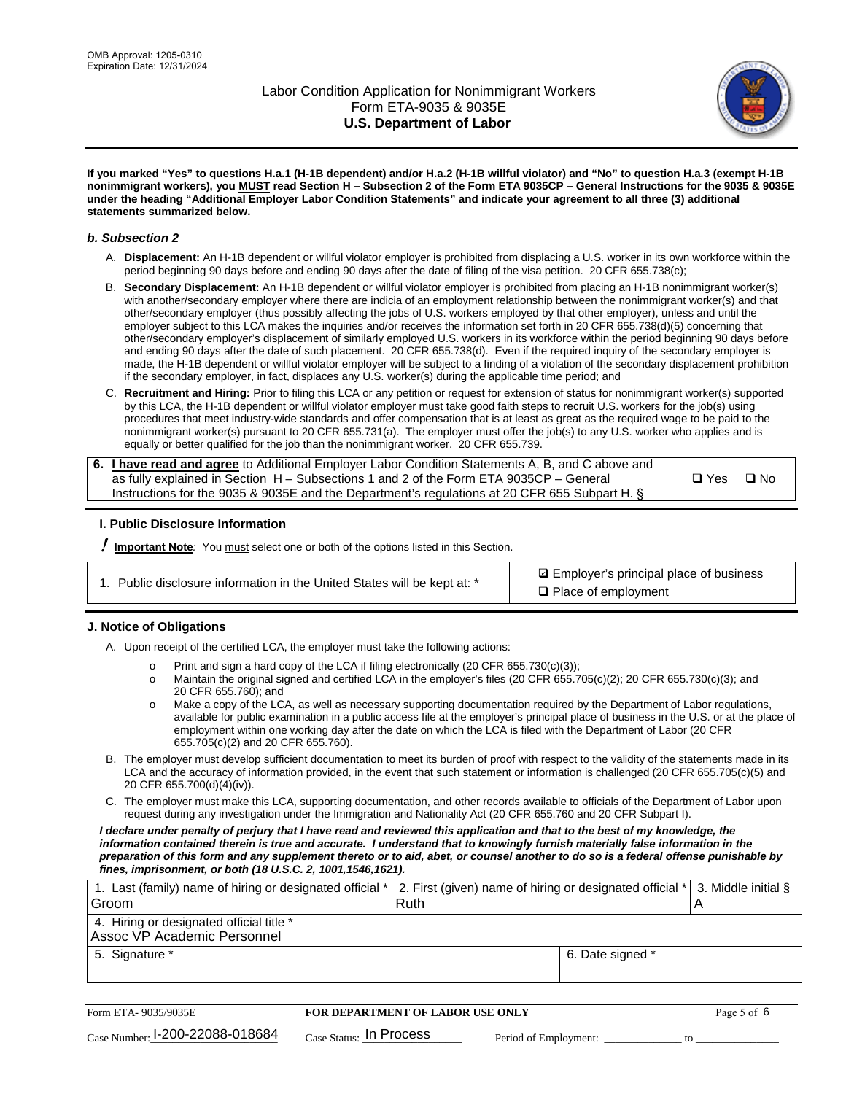

**If you marked "Yes" to questions H.a.1 (H-1B dependent) and/or H.a.2 (H-1B willful violator) and "No" to question H.a.3 (exempt H-1B nonimmigrant workers), you MUST read Section H – Subsection 2 of the Form ETA 9035CP – General Instructions for the 9035 & 9035E under the heading "Additional Employer Labor Condition Statements" and indicate your agreement to all three (3) additional statements summarized below.**

#### *b. Subsection 2*

- A. **Displacement:** An H-1B dependent or willful violator employer is prohibited from displacing a U.S. worker in its own workforce within the period beginning 90 days before and ending 90 days after the date of filing of the visa petition. 20 CFR 655.738(c);
- B. **Secondary Displacement:** An H-1B dependent or willful violator employer is prohibited from placing an H-1B nonimmigrant worker(s) with another/secondary employer where there are indicia of an employment relationship between the nonimmigrant worker(s) and that other/secondary employer (thus possibly affecting the jobs of U.S. workers employed by that other employer), unless and until the employer subject to this LCA makes the inquiries and/or receives the information set forth in 20 CFR 655.738(d)(5) concerning that other/secondary employer's displacement of similarly employed U.S. workers in its workforce within the period beginning 90 days before and ending 90 days after the date of such placement. 20 CFR 655.738(d). Even if the required inquiry of the secondary employer is made, the H-1B dependent or willful violator employer will be subject to a finding of a violation of the secondary displacement prohibition if the secondary employer, in fact, displaces any U.S. worker(s) during the applicable time period; and
- C. **Recruitment and Hiring:** Prior to filing this LCA or any petition or request for extension of status for nonimmigrant worker(s) supported by this LCA, the H-1B dependent or willful violator employer must take good faith steps to recruit U.S. workers for the job(s) using procedures that meet industry-wide standards and offer compensation that is at least as great as the required wage to be paid to the nonimmigrant worker(s) pursuant to 20 CFR 655.731(a). The employer must offer the job(s) to any U.S. worker who applies and is equally or better qualified for the job than the nonimmigrant worker. 20 CFR 655.739.

| 6. I have read and agree to Additional Employer Labor Condition Statements A, B, and C above and |       |           |
|--------------------------------------------------------------------------------------------------|-------|-----------|
| as fully explained in Section H – Subsections 1 and 2 of the Form ETA 9035CP – General           | □ Yes | $\Box$ No |
| Instructions for the 9035 & 9035 E and the Department's regulations at 20 CFR 655 Subpart H. §   |       |           |

### **I. Public Disclosure Information**

! **Important Note***:* You must select one or both of the options listed in this Section.

**sqrt** Employer's principal place of business □ Place of employment

### **J. Notice of Obligations**

A. Upon receipt of the certified LCA, the employer must take the following actions:

- o Print and sign a hard copy of the LCA if filing electronically (20 CFR 655.730(c)(3));<br>
Maintain the original signed and certified LCA in the employer's files (20 CFR 655.7
- Maintain the original signed and certified LCA in the employer's files (20 CFR 655.705(c)(2); 20 CFR 655.730(c)(3); and 20 CFR 655.760); and
- o Make a copy of the LCA, as well as necessary supporting documentation required by the Department of Labor regulations, available for public examination in a public access file at the employer's principal place of business in the U.S. or at the place of employment within one working day after the date on which the LCA is filed with the Department of Labor (20 CFR 655.705(c)(2) and 20 CFR 655.760).
- B. The employer must develop sufficient documentation to meet its burden of proof with respect to the validity of the statements made in its LCA and the accuracy of information provided, in the event that such statement or information is challenged (20 CFR 655.705(c)(5) and 20 CFR 655.700(d)(4)(iv)).
- C. The employer must make this LCA, supporting documentation, and other records available to officials of the Department of Labor upon request during any investigation under the Immigration and Nationality Act (20 CFR 655.760 and 20 CFR Subpart I).

*I declare under penalty of perjury that I have read and reviewed this application and that to the best of my knowledge, the*  information contained therein is true and accurate. I understand that to knowingly furnish materially false information in the *preparation of this form and any supplement thereto or to aid, abet, or counsel another to do so is a federal offense punishable by fines, imprisonment, or both (18 U.S.C. 2, 1001,1546,1621).*

| 1. Last (family) name of hiring or designated official *  2. First (given) name of hiring or designated official *  3. Middle initial § |      |                  |  |
|-----------------------------------------------------------------------------------------------------------------------------------------|------|------------------|--|
| Groom                                                                                                                                   | Ruth |                  |  |
| 4. Hiring or designated official title *                                                                                                |      |                  |  |
| Assoc VP Academic Personnel                                                                                                             |      |                  |  |
| 5. Signature *                                                                                                                          |      | 6. Date signed * |  |
|                                                                                                                                         |      |                  |  |

| Form ETA- 9035/9035E                        | FOR DEPARTMENT OF LABOR USE ONLY |                       | Page 5 of 6 |
|---------------------------------------------|----------------------------------|-----------------------|-------------|
| $_{\text{Case Number:}}$ I-200-22088-018684 | $_{Case\; Status:}$ In Process   | Period of Employment: |             |